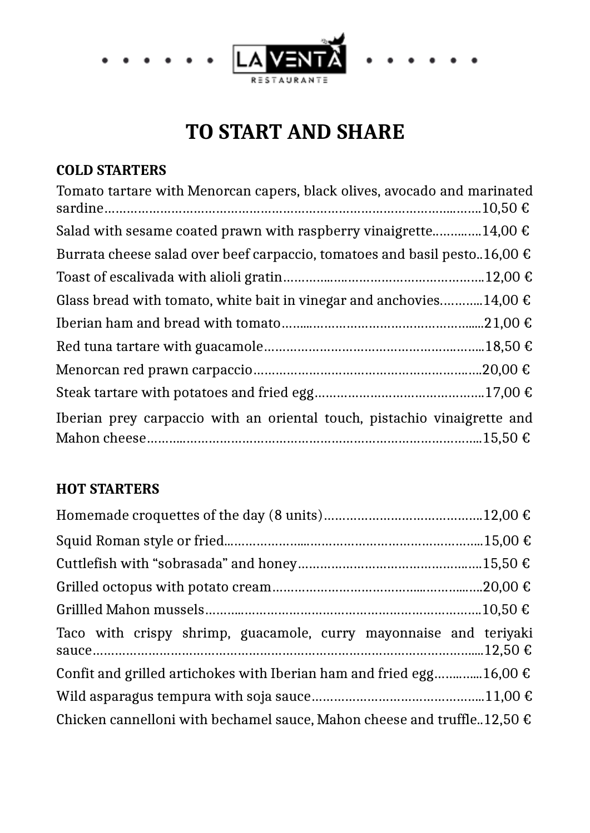

# **TO START AND SHARE**

#### **COLD STARTERS**

| Tomato tartare with Menorcan capers, black olives, avocado and marinated           |
|------------------------------------------------------------------------------------|
| Salad with sesame coated prawn with raspberry vinaigrette14,00 $\epsilon$          |
| Burrata cheese salad over beef carpaccio, tomatoes and basil pesto16,00 $\epsilon$ |
|                                                                                    |
| Glass bread with tomato, white bait in vinegar and anchovies14,00 $\epsilon$       |
|                                                                                    |
|                                                                                    |
|                                                                                    |
|                                                                                    |
| Iberian prey carpaccio with an oriental touch, pistachio vinaigrette and           |

#### **HOT STARTERS**

| Taco with crispy shrimp, guacamole, curry mayonnaise and teriyaki                  |  |
|------------------------------------------------------------------------------------|--|
| Confit and grilled artichokes with Iberian ham and fried egg16,00 $\epsilon$       |  |
|                                                                                    |  |
| Chicken cannelloni with bechamel sauce, Mahon cheese and truffle. 12,50 $\epsilon$ |  |